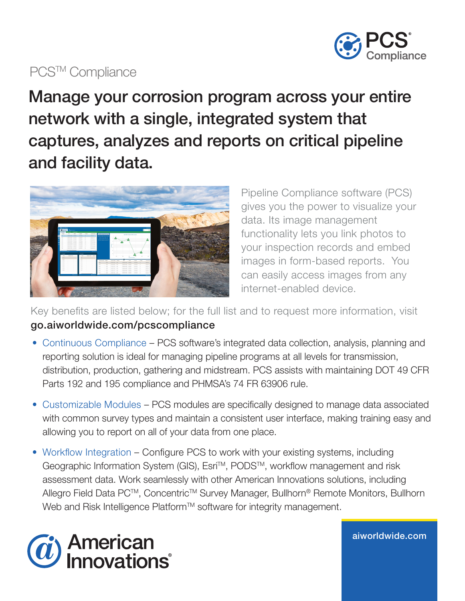

## PCS<sup>™</sup> Compliance

Manage your corrosion program across your entire network with a single, integrated system that captures, analyzes and reports on critical pipeline and facility data.



Pipeline Compliance software (PCS) gives you the power to visualize your data. Its image management functionality lets you link photos to your inspection records and embed images in form-based reports. You can easily access images from any internet-enabled device.

Key benefits are listed below; for the full list and to request more information, visit go.aiworldwide.com/pcscompliance

- Continuous Compliance PCS software's integrated data collection, analysis, planning and reporting solution is ideal for managing pipeline programs at all levels for transmission, distribution, production, gathering and midstream. PCS assists with maintaining DOT 49 CFR Parts 192 and 195 compliance and PHMSA's 74 FR 63906 rule.
- Customizable Modules PCS modules are specifically designed to manage data associated with common survey types and maintain a consistent user interface, making training easy and allowing you to report on all of your data from one place.
- Workflow Integration Configure PCS to work with your existing systems, including Geographic Information System (GIS), Esri™, PODS™, workflow management and risk assessment data. Work seamlessly with other American Innovations solutions, including Allegro Field Data PC™, Concentric™ Survey Manager, Bullhorn® Remote Monitors, Bullhorn Web and Risk Intelligence Platform™ software for integrity management.



aiworldwide.com